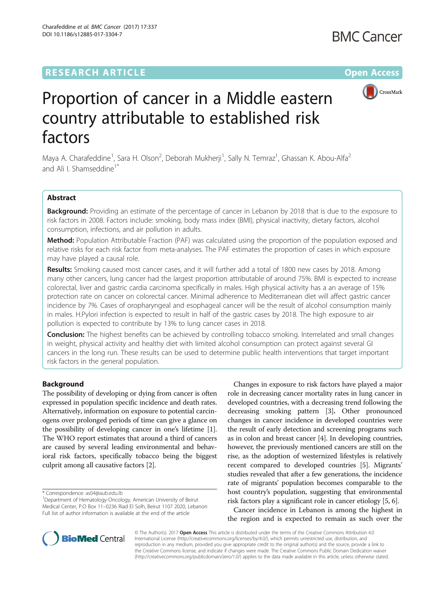

# Proportion of cancer in a Middle eastern country attributable to established risk factors

Maya A. Charafeddine<sup>1</sup>, Sara H. Olson<sup>2</sup>, Deborah Mukherji<sup>1</sup>, Sally N. Temraz<sup>1</sup>, Ghassan K. Abou-Alfa<sup>2</sup> and Ali I. Shamseddine<sup>1\*</sup>

## Abstract

Background: Providing an estimate of the percentage of cancer in Lebanon by 2018 that is due to the exposure to risk factors in 2008. Factors include: smoking, body mass index (BMI), physical inactivity, dietary factors, alcohol consumption, infections, and air pollution in adults.

Method: Population Attributable Fraction (PAF) was calculated using the proportion of the population exposed and relative risks for each risk factor from meta-analyses. The PAF estimates the proportion of cases in which exposure may have played a causal role.

Results: Smoking caused most cancer cases, and it will further add a total of 1800 new cases by 2018. Among many other cancers, lung cancer had the largest proportion attributable of around 75%. BMI is expected to increase colorectal, liver and gastric cardia carcinoma specifically in males. High physical activity has a an average of 15% protection rate on cancer on colorectal cancer. Minimal adherence to Mediterranean diet will affect gastric cancer incidence by 7%. Cases of oropharyngeal and esophageal cancer will be the result of alcohol consumption mainly in males. H.Pylori infection is expected to result in half of the gastric cases by 2018. The high exposure to air pollution is expected to contribute by 13% to lung cancer cases in 2018.

**Conclusion:** The highest benefits can be achieved by controlling tobacco smoking. Interrelated and small changes in weight, physical activity and healthy diet with limited alcohol consumption can protect against several GI cancers in the long run. These results can be used to determine public health interventions that target important risk factors in the general population.

## Background

The possibility of developing or dying from cancer is often expressed in population specific incidence and death rates. Alternatively, information on exposure to potential carcinogens over prolonged periods of time can give a glance on the possibility of developing cancer in one's lifetime [[1](#page-9-0)]. The WHO report estimates that around a third of cancers are caused by several leading environmental and behavioral risk factors, specifically tobacco being the biggest culprit among all causative factors [[2\]](#page-9-0).

\* Correspondence: [as04@aub.edu.lb](mailto:as04@aub.edu.lb) <sup>1</sup>

<sup>1</sup>Department of Hematology-Oncology, American University of Beirut Medical Center, P.O Box 11–0236 Riad El Solh, Beirut 1107 2020, Lebanon Full list of author information is available at the end of the article

Changes in exposure to risk factors have played a major role in decreasing cancer mortality rates in lung cancer in developed countries, with a decreasing trend following the decreasing smoking pattern [[3\]](#page-9-0). Other pronounced changes in cancer incidence in developed countries were the result of early detection and screening programs such as in colon and breast cancer [[4](#page-9-0)]. In developing countries, however, the previously mentioned cancers are still on the rise, as the adoption of westernized lifestyles is relatively recent compared to developed countries [\[5\]](#page-9-0). Migrants' studies revealed that after a few generations, the incidence rate of migrants' population becomes comparable to the host country's population, suggesting that environmental risk factors play a significant role in cancer etiology [\[5, 6](#page-9-0)].

Cancer incidence in Lebanon is among the highest in the region and is expected to remain as such over the



© The Author(s). 2017 Open Access This article is distributed under the terms of the Creative Commons Attribution 4.0 International License [\(http://creativecommons.org/licenses/by/4.0/](http://creativecommons.org/licenses/by/4.0/)), which permits unrestricted use, distribution, and reproduction in any medium, provided you give appropriate credit to the original author(s) and the source, provide a link to the Creative Commons license, and indicate if changes were made. The Creative Commons Public Domain Dedication waiver [\(http://creativecommons.org/publicdomain/zero/1.0/](http://creativecommons.org/publicdomain/zero/1.0/)) applies to the data made available in this article, unless otherwise stated.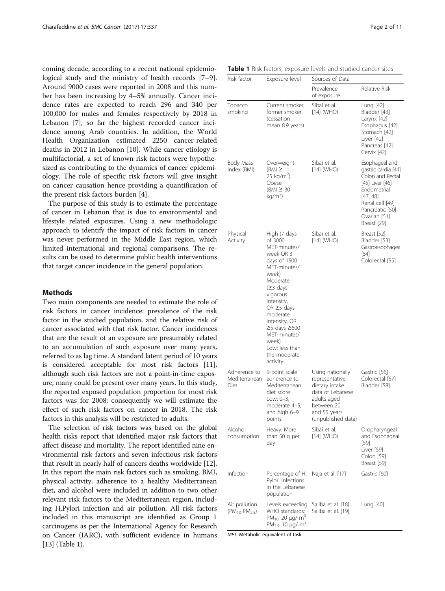<span id="page-1-0"></span>coming decade, according to a recent national epidemiological study and the ministry of health records [\[7](#page-9-0)–[9](#page-9-0)]. Around 9000 cases were reported in 2008 and this number has been increasing by 4–5% annually. Cancer incidence rates are expected to reach 296 and 340 per 100,000 for males and females respectively by 2018 in Lebanon [\[7](#page-9-0)], so far the highest recorded cancer incidence among Arab countries. In addition, the World Health Organization estimated 2250 cancer-related deaths in 2012 in Lebanon [[10\]](#page-9-0). While cancer etiology is multifactorial, a set of known risk factors were hypothesized as contributing to the dynamics of cancer epidemiology. The role of specific risk factors will give insight on cancer causation hence providing a quantification of the present risk factors burden [\[4\]](#page-9-0).

The purpose of this study is to estimate the percentage of cancer in Lebanon that is due to environmental and lifestyle related exposures. Using a new methodologic approach to identify the impact of risk factors in cancer was never performed in the Middle East region, which limited international and regional comparisons. The results can be used to determine public health interventions that target cancer incidence in the general population.

## **Methods**

Two main components are needed to estimate the role of risk factors in cancer incidence: prevalence of the risk factor in the studied population, and the relative risk of cancer associated with that risk factor. Cancer incidences that are the result of an exposure are presumably related to an accumulation of such exposure over many years, referred to as lag time. A standard latent period of 10 years is considered acceptable for most risk factors [[11](#page-9-0)], although such risk factors are not a point-in-time exposure, many could be present over many years. In this study, the reported exposed population proportion for most risk factors was for 2008; consequently we will estimate the effect of such risk factors on cancer in 2018. The risk factors in this analysis will be restricted to adults.

The selection of risk factors was based on the global health risks report that identified major risk factors that affect disease and mortality. The report identified nine environmental risk factors and seven infectious risk factors that result in nearly half of cancers deaths worldwide [[12](#page-9-0)]. In this report the main risk factors such as smoking, BMI, physical activity, adherence to a healthy Mediterranean diet, and alcohol were included in addition to two other relevant risk factors to the Mediterranean region, including H.Pylori infection and air pollution. All risk factors included in this manuscript are identified as Group 1 carcinogens as per the International Agency for Research on Cancer (IARC), with sufficient evidence in humans [[13](#page-9-0)] (Table 1).

Table 1 Risk factors, exposure levels and studied cancer sites

| Risk factor                           | Exposure level                                                                                                                                                                                                                                                                        | Sources of Data                                                                                                                             |                                                                                                                                                                              |  |
|---------------------------------------|---------------------------------------------------------------------------------------------------------------------------------------------------------------------------------------------------------------------------------------------------------------------------------------|---------------------------------------------------------------------------------------------------------------------------------------------|------------------------------------------------------------------------------------------------------------------------------------------------------------------------------|--|
|                                       |                                                                                                                                                                                                                                                                                       | Prevalence<br>of exposure                                                                                                                   | Relative Risk                                                                                                                                                                |  |
| Tobacco<br>smoking                    | Current smoker,<br>former smoker<br>(cessation<br>mean 8.9 years)                                                                                                                                                                                                                     | Sibai et al.<br>[14] (WHO)                                                                                                                  | Lung [42]<br>Bladder [43]<br>Larynx [42]<br>Esophagus [42]<br>Stomach [42]<br>Liver [42]<br>Pancreas [42]<br>Cervix [42]                                                     |  |
| Body Mass<br>Index (BMI)              | Overweight<br>$(BMI \geq$<br>25 kg/m <sup>2</sup> )<br>Obese<br>(BMI $\geq$ 30<br>$kg/m2$ )                                                                                                                                                                                           | Sibai et al.<br>$[14]$ (WHO)                                                                                                                | Esophageal and<br>gastric cardia [44]<br>Colon and Rectal<br>[45] Liver [46]<br>Endometrial<br>[47, 48]<br>Renal cell [49]<br>Pancreatic [50]<br>Ovarian [51]<br>Breast [29] |  |
| Physical<br>Activity                  | High (7 days<br>of 3000<br>MET-minutes/<br>week OR 3<br>days of 1500<br>MET-minutes/<br>week)<br>Moderate<br>(≥3 days<br>vigorous<br>intensity,<br>OR ≥5 days<br>moderate<br>intensity, OR<br>$≥5$ days $≥600$<br>MET-minutes/<br>week)<br>Low: less than<br>the moderate<br>activity | Sibai et al.<br>$[14]$ (WHO)                                                                                                                | Breast [52]<br>Bladder [53]<br>Gastroesophageal<br>[54]<br>Colorectal [55]                                                                                                   |  |
| Adherence to<br>Mediterranean<br>Diet | 9-point scale<br>adherence to<br>Mediterranean<br>diet score<br>Low: 0-3,<br>moderate 4–5,<br>and high 6–9<br>points.                                                                                                                                                                 | Using nationally<br>representative<br>dietary intake<br>data of Lebanese<br>adults aged<br>between 20<br>and 55 years<br>(unpublished data) | Gastric [56]<br>Colorectal [57]<br>Bladder [58]                                                                                                                              |  |
| Alcohol<br>consumption                | Heavy: More<br>than 50 g per<br>day                                                                                                                                                                                                                                                   | Sibai et al.<br>[14] (WHO)                                                                                                                  | Oropharyngeal<br>and Esophageal<br>[59]<br>Liver [59]<br>Colon [59]<br>Breast [59]                                                                                           |  |
| Infection                             | Percentage of H.<br>Pylori infections<br>in the Lebanese<br>population                                                                                                                                                                                                                | Naja et al. [17]                                                                                                                            | Gastric [60]                                                                                                                                                                 |  |
| Air pollution<br>$(PM_{10} PM_{2.5})$ | Levels exceeding<br>WHO standards:<br>PM <sub>10</sub> : 20 µg/ m <sup>3</sup><br>PM <sub>2.5:</sub> 10 $\mu$ g/ m <sup>3</sup>                                                                                                                                                       | Saliba et al. [18]<br>Saliba et al. [19]                                                                                                    | Lung [40]                                                                                                                                                                    |  |

MET, Metabolic equivalent of task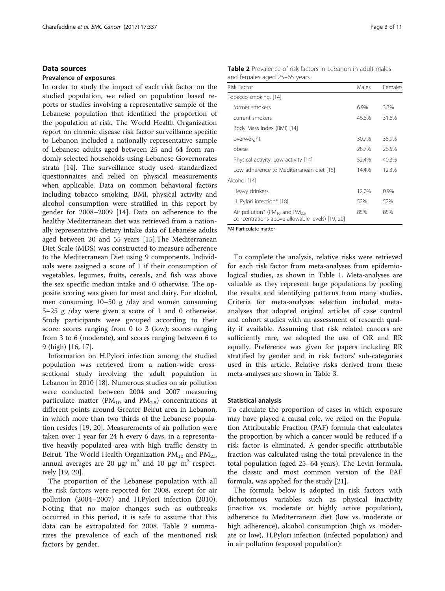## <span id="page-2-0"></span>Data sources

## Prevalence of exposures

In order to study the impact of each risk factor on the studied population, we relied on population based reports or studies involving a representative sample of the Lebanese population that identified the proportion of the population at risk. The World Health Organization report on chronic disease risk factor surveillance specific to Lebanon included a nationally representative sample of Lebanese adults aged between 25 and 64 from randomly selected households using Lebanese Governorates strata [\[14](#page-9-0)]. The surveillance study used standardized questionnaires and relied on physical measurements when applicable. Data on common behavioral factors including tobacco smoking, BMI, physical activity and alcohol consumption were stratified in this report by gender for 2008–2009 [[14\]](#page-9-0). Data on adherence to the healthy Mediterranean diet was retrieved from a nationally representative dietary intake data of Lebanese adults aged between 20 and 55 years [[15](#page-9-0)].The Mediterranean Diet Scale (MDS) was constructed to measure adherence to the Mediterranean Diet using 9 components. Individuals were assigned a score of 1 if their consumption of vegetables, legumes, fruits, cereals, and fish was above the sex specific median intake and 0 otherwise. The opposite scoring was given for meat and dairy. For alcohol, men consuming 10–50 g /day and women consuming 5–25 g /day were given a score of 1 and 0 otherwise. Study participants were grouped according to their score: scores ranging from 0 to 3 (low); scores ranging from 3 to 6 (moderate), and scores ranging between 6 to 9 (high) [[16, 17\]](#page-9-0).

Information on H.Pylori infection among the studied population was retrieved from a nation-wide crosssectional study involving the adult population in Lebanon in 2010 [\[18](#page-9-0)]. Numerous studies on air pollution were conducted between 2004 and 2007 measuring particulate matter ( $PM_{10}$  and  $PM_{2.5}$ ) concentrations at different points around Greater Beirut area in Lebanon, in which more than two thirds of the Lebanese population resides [\[19, 20\]](#page-9-0). Measurements of air pollution were taken over 1 year for 24 h every 6 days, in a representative heavily populated area with high traffic density in Beirut. The World Health Organization  $PM_{10}$  and  $PM_{2.5}$ annual averages are 20 μg/ m<sup>3</sup> and 10 μg/ m<sup>3</sup> respectively [\[19](#page-9-0), [20\]](#page-9-0).

The proportion of the Lebanese population with all the risk factors were reported for 2008, except for air pollution (2004–2007) and H.Pylori infection (2010). Noting that no major changes such as outbreaks occurred in this period, it is safe to assume that this data can be extrapolated for 2008. Table 2 summarizes the prevalence of each of the mentioned risk factors by gender.

|                              | Table 2 Prevalence of risk factors in Lebanon in adult males |  |  |
|------------------------------|--------------------------------------------------------------|--|--|
| and females aged 25-65 years |                                                              |  |  |

| Risk Factor                                                                                              | Males | Females |
|----------------------------------------------------------------------------------------------------------|-------|---------|
| Tobacco smoking, [14]                                                                                    |       |         |
| former smokers                                                                                           | 6.9%  | 3.3%    |
| current smokers                                                                                          | 46.8% | 31.6%   |
| Body Mass Index (BMI) [14]                                                                               |       |         |
| overweight                                                                                               | 30.7% | 38.9%   |
| obese                                                                                                    | 28.7% | 26.5%   |
| Physical activity, Low activity [14]                                                                     | 52.4% | 40.3%   |
| Low adherence to Mediterranean diet [15]                                                                 | 14.4% | 12.3%   |
| Alcohol [14]                                                                                             |       |         |
| Heavy drinkers                                                                                           | 12.0% | 0.9%    |
| H. Pylori infection* [18]                                                                                | 52%   | 52%     |
| Air pollution* (PM <sub>10</sub> and PM <sub>25</sub><br>concentrations above allowable levels) [19, 20] | 85%   | 85%     |

PM Particulate matter

To complete the analysis, relative risks were retrieved for each risk factor from meta-analyses from epidemiological studies, as shown in Table [1](#page-1-0). Meta-analyses are valuable as they represent large populations by pooling the results and identifying patterns from many studies. Criteria for meta-analyses selection included metaanalyses that adopted original articles of case control and cohort studies with an assessment of research quality if available. Assuming that risk related cancers are sufficiently rare, we adopted the use of OR and RR equally. Preference was given for papers including RR stratified by gender and in risk factors' sub-categories used in this article. Relative risks derived from these meta-analyses are shown in Table [3](#page-3-0).

## Statistical analysis

To calculate the proportion of cases in which exposure may have played a causal role, we relied on the Population Attributable Fraction (PAF) formula that calculates the proportion by which a cancer would be reduced if a risk factor is eliminated. A gender-specific attributable fraction was calculated using the total prevalence in the total population (aged 25–64 years). The Levin formula, the classic and most common version of the PAF formula, was applied for the study [\[21\]](#page-9-0).

The formula below is adopted in risk factors with dichotomous variables such as physical inactivity (inactive vs. moderate or highly active population), adherence to Mediterranean diet (low vs. moderate or high adherence), alcohol consumption (high vs. moderate or low), H.Pylori infection (infected population) and in air pollution (exposed population):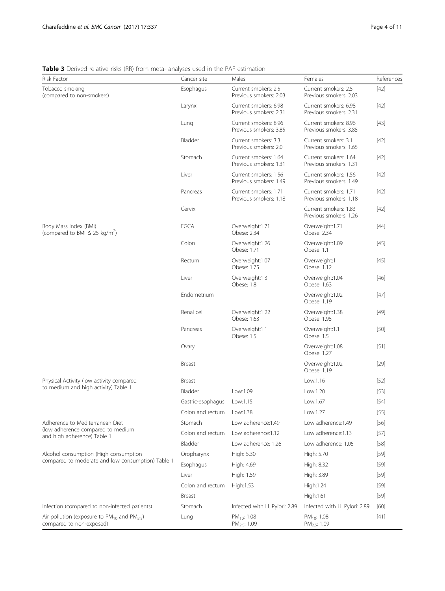<span id="page-3-0"></span>Table 3 Derived relative risks (RR) from meta- analyses used in the PAF estimation

| Risk Factor                                                                       | Cancer site       | Males                                           | Females                                         | References |
|-----------------------------------------------------------------------------------|-------------------|-------------------------------------------------|-------------------------------------------------|------------|
| Tobacco smoking<br>(compared to non-smokers)                                      | Esophagus         | Current smokers: 2.5<br>Previous smokers: 2.03  | Current smokers: 2.5<br>Previous smokers: 2.03  | $[42]$     |
|                                                                                   | Larynx            | Current smokers: 6.98<br>Previous smokers: 2.31 | Current smokers: 6.98<br>Previous smokers: 2.31 | $[42]$     |
|                                                                                   | Lung              | Current smokers: 8.96<br>Previous smokers: 3.85 | Current smokers: 8.96<br>Previous smokers: 3.85 | $[43]$     |
|                                                                                   | Bladder           | Current smokers: 3.3<br>Previous smokers: 2.0   | Current smokers: 3.1<br>Previous smokers: 1.65  | $[42]$     |
|                                                                                   | Stomach           | Current smokers: 1.64<br>Previous smokers: 1.31 | Current smokers: 1.64<br>Previous smokers: 1.31 | $[42]$     |
|                                                                                   | Liver             | Current smokers: 1.56<br>Previous smokers: 1.49 | Current smokers: 1.56<br>Previous smokers: 1.49 | $[42]$     |
|                                                                                   | Pancreas          | Current smokers: 1.71<br>Previous smokers: 1.18 | Current smokers: 1.71<br>Previous smokers: 1.18 | $[42]$     |
|                                                                                   | Cervix            |                                                 | Current smokers: 1.83<br>Previous smokers: 1.26 | $[42]$     |
| Body Mass Index (BMI)<br>(compared to BMI $\leq$ 25 kg/m <sup>2</sup> )           | <b>EGCA</b>       | Overweight:1.71<br>Obese: 2.34                  | Overweight:1.71<br>Obese: 2.34                  | $[44]$     |
|                                                                                   | Colon             | Overweight:1.26<br>Obese: 1.71                  | Overweight:1.09<br>Obese: 1.1                   | $[45]$     |
|                                                                                   | Rectum            | Overweight:1.07<br>Obese: 1.75                  | Overweight:1<br>Obese: 1.12                     | $[45]$     |
|                                                                                   | Liver             | Overweight:1.3<br>Obese: 1.8                    | Overweight:1.04<br>Obese: 1.63                  | $[46]$     |
|                                                                                   | Endometrium       |                                                 | Overweight:1.02<br>Obese: 1.19                  | $[47]$     |
|                                                                                   | Renal cell        | Overweight:1.22<br>Obese: 1.63                  | Overweight:1.38<br>Obese: 1.95                  | $[49]$     |
|                                                                                   | Pancreas          | Overweight:1.1<br>Obese: 1.5                    | Overweight:1.1<br>Obese: 1.5                    | $[50]$     |
|                                                                                   | Ovary             |                                                 | Overweight:1.08<br>Obese: 1.27                  | $[51]$     |
|                                                                                   | Breast            |                                                 | Overweight:1.02<br>Obese: 1.19                  | $[29]$     |
| Physical Activity (low activity compared                                          | <b>Breast</b>     |                                                 | Low:1.16                                        | $[52]$     |
| to medium and high activity) Table 1                                              | Bladder           | Low:1.09                                        | Low:1.20                                        | $[53]$     |
|                                                                                   | Gastric-esophagus | Low:1.15                                        | Low:1.67                                        | $[54]$     |
|                                                                                   | Colon and rectum  | Low:1.38                                        | Low:1.27                                        | $[55]$     |
| Adherence to Mediterranean Diet                                                   | Stomach           | Low adherence:1.49                              | Low adherence:1.49                              | $[56]$     |
| (low adherence compared to medium                                                 | Colon and rectum  | Low adherence:1.12                              | Low adherence:1.13                              | [57]       |
| and high adherence) Table 1                                                       | Bladder           | Low adherence: 1.26                             | Low adherence: 1.05                             | $[58]$     |
| Alcohol consumption (High consumption                                             | Oropharynx        | High: 5.30                                      | High: 5.70                                      | $[59]$     |
| compared to moderate and low consumption) Table 1                                 | Esophagus         | High: 4.69                                      | High: 8.32                                      | $[59]$     |
|                                                                                   | Liver             | High: 1.59                                      | High: 3.89                                      | $[59]$     |
|                                                                                   | Colon and rectum  | High:1.53                                       | High:1.24                                       | $[59]$     |
|                                                                                   | Breast            |                                                 | High:1.61                                       | $[59]$     |
| Infection (compared to non-infected patients)                                     | Stomach           | Infected with H. Pylori: 2.89                   | Infected with H. Pylori: 2.89                   | [60]       |
| Air pollution (exposure to $PM_{10}$ and $PM_{2.5}$ )<br>compared to non-exposed) | Lung              | $PM_{10}$ : 1.08<br>PM <sub>2.5</sub> : 1.09    | $PM_{10}$ : 1.08<br>$PM_{2.5}: 1.09$            | $[41]$     |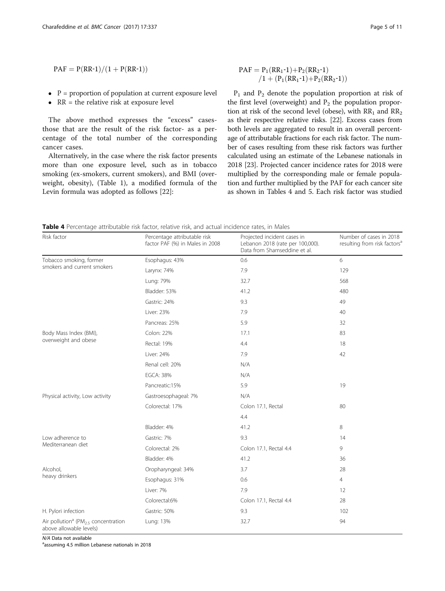<span id="page-4-0"></span> $PAF = P(RR-1)/(1 + P(RR-1))$ 

• 
$$
P = \text{proportion of population at current exposure level}
$$

• RR = the relative risk at exposure level

The above method expresses the "excess" casesthose that are the result of the risk factor- as a percentage of the total number of the corresponding cancer cases.

Alternatively, in the case where the risk factor presents more than one exposure level, such as in tobacco smoking (ex-smokers, current smokers), and BMI (overweight, obesity), (Table [1\)](#page-1-0), a modified formula of the Levin formula was adopted as follows [\[22\]](#page-9-0):

$$
PAF = P_1(RR_1-1)+P_2(RR_2-1) /1 + (P_1(RR_1-1)+P_2(RR_2-1))
$$

P1 and P2 denote the population proportion at risk of the first level (overweight) and  $P_2$  the population proportion at risk of the second level (obese), with  $RR_1$  and  $RR_2$ as their respective relative risks. [\[22\]](#page-9-0). Excess cases from both levels are aggregated to result in an overall percentage of attributable fractions for each risk factor. The number of cases resulting from these risk factors was further calculated using an estimate of the Lebanese nationals in 2018 [\[23\]](#page-9-0). Projected cancer incidence rates for 2018 were multiplied by the corresponding male or female population and further multiplied by the PAF for each cancer site as shown in Tables 4 and [5.](#page-5-0) Each risk factor was studied

Table 4 Percentage attributable risk factor, relative risk, and actual incidence rates, in Males

| Risk factor                                                                            | Percentage attributable risk<br>factor PAF (%) in Males in 2008 | Projected incident cases in<br>Lebanon 2018 (rate per 100,000).<br>Data from Shamseddine et al. | Number of cases in 2018<br>resulting from risk factors <sup>a</sup> |
|----------------------------------------------------------------------------------------|-----------------------------------------------------------------|-------------------------------------------------------------------------------------------------|---------------------------------------------------------------------|
| Tobacco smoking, former                                                                | Esophagus: 43%                                                  | 0.6                                                                                             | 6                                                                   |
| smokers and current smokers                                                            | Larynx: 74%                                                     | 7.9                                                                                             | 129                                                                 |
|                                                                                        | Lung: 79%                                                       | 32.7                                                                                            | 568                                                                 |
|                                                                                        | Bladder: 53%                                                    | 41.2                                                                                            | 480                                                                 |
|                                                                                        | Gastric: 24%                                                    | 9.3                                                                                             | 49                                                                  |
|                                                                                        | Liver: 23%                                                      | 7.9                                                                                             | 40                                                                  |
|                                                                                        | Pancreas: 25%                                                   | 5.9                                                                                             | 32                                                                  |
| Body Mass Index (BMI),                                                                 | Colon: 22%                                                      | 17.1                                                                                            | 83                                                                  |
| overweight and obese                                                                   | Rectal: 19%                                                     | 4.4                                                                                             | 18                                                                  |
|                                                                                        | Liver: 24%                                                      | 7.9                                                                                             | 42                                                                  |
|                                                                                        | Renal cell: 20%                                                 | N/A                                                                                             |                                                                     |
|                                                                                        | <b>EGCA: 38%</b>                                                | N/A                                                                                             |                                                                     |
|                                                                                        | Pancreatic:15%                                                  | 5.9                                                                                             | 19                                                                  |
| Physical activity, Low activity                                                        | Gastroesophageal: 7%                                            | N/A                                                                                             |                                                                     |
|                                                                                        | Colorectal: 17%                                                 | Colon 17.1, Rectal                                                                              | 80                                                                  |
|                                                                                        |                                                                 | 4.4                                                                                             |                                                                     |
|                                                                                        | Bladder: 4%                                                     | 41.2                                                                                            | 8                                                                   |
| Low adherence to                                                                       | Gastric: 7%                                                     | 9.3                                                                                             | 14                                                                  |
| Mediterranean diet                                                                     | Colorectal: 2%                                                  | Colon 17.1, Rectal 4.4                                                                          | 9                                                                   |
|                                                                                        | Bladder: 4%                                                     | 41.2                                                                                            | 36                                                                  |
| Alcohol,                                                                               | Oropharyngeal: 34%                                              | 3.7                                                                                             | 28                                                                  |
| heavy drinkers                                                                         | Esophagus: 31%                                                  | 0.6                                                                                             | $\overline{4}$                                                      |
|                                                                                        | Liver: 7%                                                       | 7.9                                                                                             | 12                                                                  |
|                                                                                        | Colorectal:6%                                                   | Colon 17.1, Rectal 4.4                                                                          | 28                                                                  |
| H. Pylori infection                                                                    | Gastric: 50%                                                    | 9.3                                                                                             | 102                                                                 |
| Air pollution <sup>a</sup> (PM <sub>2.5</sub> concentration<br>above allowable levels) | Lung: 13%                                                       | 32.7                                                                                            | 94                                                                  |

 $N/A$  Data not available

assuming 4.5 million Lebanese nationals in 2018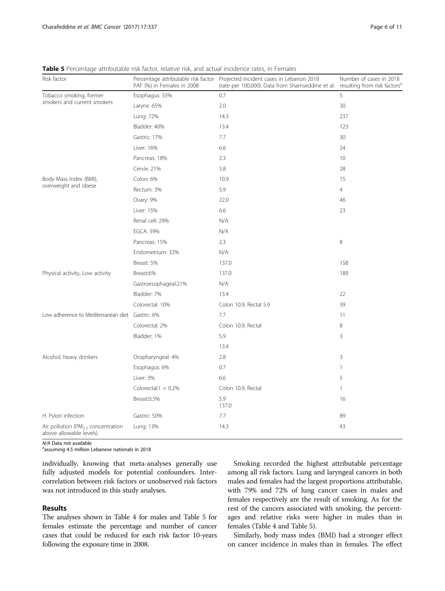| .49200 |
|--------|
|        |
|        |
|        |

| Risk factor                                                               | Percentage attributable risk factor<br>PAF (%) in Females in 2008 | Projected incident cases in Lebanon 2018<br>(rate per 100,000). Data from Shamseddine et al. | Number of cases in 2018<br>resulting from risk factors <sup>a</sup> |
|---------------------------------------------------------------------------|-------------------------------------------------------------------|----------------------------------------------------------------------------------------------|---------------------------------------------------------------------|
| Tobacco smoking, former                                                   | Esophagus: 33%                                                    | 0.7                                                                                          | 5                                                                   |
| smokers and current smokers                                               | Larynx: 65%                                                       | 2.0                                                                                          | 30                                                                  |
|                                                                           | Lung: 72%                                                         | 14.3                                                                                         | 237                                                                 |
|                                                                           | Bladder: 40%                                                      | 13.4                                                                                         | 123                                                                 |
|                                                                           | Gastric: 17%                                                      | 7.7                                                                                          | 30                                                                  |
|                                                                           | Liver: 16%                                                        | 6.6                                                                                          | 24                                                                  |
|                                                                           | Pancreas: 18%                                                     | 2.3                                                                                          | 10                                                                  |
|                                                                           | Cervix: 21%                                                       | 5.8                                                                                          | 28                                                                  |
| Body Mass Index (BMI),                                                    | Colon: 6%                                                         | 10.9                                                                                         | 15                                                                  |
| overweight and obese                                                      | Rectum: 3%                                                        | 5.9                                                                                          | $\overline{4}$                                                      |
|                                                                           | Ovary: 9%                                                         | 22.0                                                                                         | 46                                                                  |
|                                                                           | Liver: 15%                                                        | 6.6                                                                                          | 23                                                                  |
|                                                                           | Renal cell: 29%                                                   | N/A                                                                                          |                                                                     |
|                                                                           | <b>EGCA: 39%</b>                                                  | N/A                                                                                          |                                                                     |
|                                                                           | Pancreas: 15%                                                     | 2.3                                                                                          | 8                                                                   |
|                                                                           | Endometrium: 32%                                                  | N/A                                                                                          |                                                                     |
|                                                                           | Breast: 5%                                                        | 137.0                                                                                        | 158                                                                 |
| Physical activity, Low activity                                           | Breast:6%                                                         | 137.0                                                                                        | 189                                                                 |
|                                                                           | Gastroesophageal:21%                                              | N/A                                                                                          |                                                                     |
|                                                                           | Bladder: 7%                                                       | 13.4                                                                                         | 22                                                                  |
|                                                                           | Colorectal: 10%                                                   | Colon 10.9, Rectal 5.9                                                                       | 39                                                                  |
| Low adherence to Mediterranean diet Gastric: 6%                           |                                                                   | 7.7                                                                                          | 11                                                                  |
|                                                                           | Colorectal: 2%                                                    | Colon 10.9, Rectal                                                                           | 8                                                                   |
|                                                                           | Bladder: 1%                                                       | 5.9                                                                                          | 3                                                                   |
|                                                                           |                                                                   | 13.4                                                                                         |                                                                     |
| Alcohol, heavy drinkers                                                   | Oropharyngeal: 4%                                                 | 2.8                                                                                          | 3                                                                   |
|                                                                           | Esophagus: 6%                                                     | 0.7                                                                                          | $\mathbf{1}$                                                        |
|                                                                           | Liver: 3%                                                         | 6.6                                                                                          | 5                                                                   |
|                                                                           | Colorectal: $1 = 0.2\%$                                           | Colon 10.9, Rectal                                                                           | 1                                                                   |
|                                                                           | Breast:0.5%                                                       | 5.9<br>137.0                                                                                 | 16                                                                  |
| H. Pylori infection                                                       | Gastric: 50%                                                      | 7.7                                                                                          | 89                                                                  |
| Air pollution (PM <sub>2.5</sub> concentration<br>above allowable levels) | Lung: 13%                                                         | 14.3                                                                                         | 43                                                                  |

<span id="page-5-0"></span>Table 5 Percentage attributable risk factor, relative risk, and actual incidence rates, in Females

 $N/A$  Data not available

assuming 4.5 million Lebanese nationals in 2018

individually, knowing that meta-analyses generally use fully adjusted models for potential confounders. Intercorrelation between risk factors or unobserved risk factors was not introduced in this study analyses.

## Results

The analyses shown in Table [4](#page-4-0) for males and Table 5 for females estimate the percentage and number of cancer cases that could be reduced for each risk factor 10-years following the exposure time in 2008.

Smoking recorded the highest attributable percentage among all risk factors. Lung and laryngeal cancers in both males and females had the largest proportions attributable, with 79% and 72% of lung cancer cases in males and females respectively are the result of smoking. As for the rest of the cancers associated with smoking, the percentages and relative risks were higher in males than in females (Table [4](#page-4-0) and Table 5).

Similarly, body mass index (BMI) had a stronger effect on cancer incidence in males than in females. The effect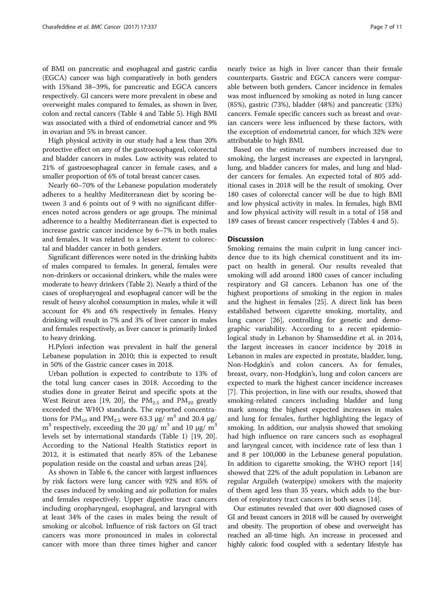of BMI on pancreatic and esophageal and gastric cardia (EGCA) cancer was high comparatively in both genders with 15%and 38–39%, for pancreatic and EGCA cancers respectively. GI cancers were more prevalent in obese and overweight males compared to females, as shown in liver, colon and rectal cancers (Table [4](#page-4-0) and Table [5](#page-5-0)). High BMI was associated with a third of endometrial cancer and 9% in ovarian and 5% in breast cancer.

High physical activity in our study had a less than 20% protective effect on any of the gastroesophageal, colorectal and bladder cancers in males. Low activity was related to 21% of gastroesophageal cancer in female cases, and a smaller proportion of 6% of total breast cancer cases.

Nearly 60–70% of the Lebanese population moderately adheres to a healthy Mediterranean diet by scoring between 3 and 6 points out of 9 with no significant differences noted across genders or age groups. The minimal adherence to a healthy Mediterranean diet is expected to increase gastric cancer incidence by 6–7% in both males and females. It was related to a lesser extent to colorectal and bladder cancer in both genders.

Significant differences were noted in the drinking habits of males compared to females. In general, females were non-drinkers or occasional drinkers, while the males were moderate to heavy drinkers (Table [2](#page-2-0)). Nearly a third of the cases of oropharyngeal and esophageal cancer will be the result of heavy alcohol consumption in males, while it will account for 4% and 6% respectively in females. Heavy drinking will result in 7% and 3% of liver cancer in males and females respectively, as liver cancer is primarily linked to heavy drinking.

H.Pylori infection was prevalent in half the general Lebanese population in 2010; this is expected to result in 50% of the Gastric cancer cases in 2018.

Urban pollution is expected to contribute to 13% of the total lung cancer cases in 2018. According to the studies done in greater Beirut and specific spots at the West Beirut area [\[19](#page-9-0), [20](#page-9-0)], the  $PM_{2.5}$  and  $PM_{10}$  greatly exceeded the WHO standards. The reported concentrations for  $PM_{10}$  and  $PM_{2.5}$  were 63.3 μg/ m<sup>3</sup> and 20.4 μg/  $m<sup>3</sup>$  respectively, exceeding the 20 μg/ m<sup>3</sup> and 10 μg/ m<sup>3</sup> levels set by international standards (Table [1](#page-1-0)) [[19, 20](#page-9-0)]. According to the National Health Statistics report in 2012, it is estimated that nearly 85% of the Lebanese population reside on the coastal and urban areas [[24](#page-9-0)].

As shown in Table [6,](#page-7-0) the cancer with largest influences by risk factors were lung cancer with 92% and 85% of the cases induced by smoking and air pollution for males and females respectively. Upper digestive tract cancers including oropharyngeal, esophageal, and laryngeal with at least 34% of the cases in males being the result of smoking or alcohol. Influence of risk factors on GI tract cancers was more pronounced in males in colorectal cancer with more than three times higher and cancer nearly twice as high in liver cancer than their female counterparts. Gastric and EGCA cancers were comparable between both genders. Cancer incidence in females was most influenced by smoking as noted in lung cancer (85%), gastric (73%), bladder (48%) and pancreatic (33%) cancers. Female specific cancers such as breast and ovarian cancers were less influenced by these factors, with the exception of endometrial cancer, for which 32% were attributable to high BMI.

Based on the estimate of numbers increased due to smoking, the largest increases are expected in laryngeal, lung, and bladder cancers for males, and lung and bladder cancers for females. An expected total of 805 additional cases in 2018 will be the result of smoking. Over 180 cases of colorectal cancer will be due to high BMI and low physical activity in males. In females, high BMI and low physical activity will result in a total of 158 and 189 cases of breast cancer respectively (Tables [4](#page-4-0) and [5\)](#page-5-0).

## **Discussion**

Smoking remains the main culprit in lung cancer incidence due to its high chemical constituent and its impact on health in general. Our results revealed that smoking will add around 1800 cases of cancer including respiratory and GI cancers. Lebanon has one of the highest proportions of smoking in the region in males and the highest in females [\[25\]](#page-9-0). A direct link has been established between cigarette smoking, mortality, and lung cancer [\[26\]](#page-9-0), controlling for genetic and demographic variability. According to a recent epidemiological study in Lebanon by Shamseddine et al. in 2014, the largest increases in cancer incidence by 2018 in Lebanon in males are expected in prostate, bladder, lung, Non-Hodgkin's and colon cancers. As for females, breast, ovary, non-Hodgkin's, lung and colon cancers are expected to mark the highest cancer incidence increases [[7\]](#page-9-0). This projection, in line with our results, showed that smoking-related cancers including bladder and lung mark among the highest expected increases in males and lung for females, further highlighting the legacy of smoking. In addition, our analysis showed that smoking had high influence on rare cancers such as esophageal and laryngeal cancer, with incidence rate of less than 1 and 8 per 100,000 in the Lebanese general population. In addition to cigarette smoking, the WHO report [[14](#page-9-0)] showed that 22% of the adult population in Lebanon are regular Arguileh (waterpipe) smokers with the majority of them aged less than 35 years, which adds to the burden of respiratory tract cancers in both sexes [[14](#page-9-0)].

Our estimates revealed that over 400 diagnosed cases of GI and breast cancers in 2018 will be caused by overweight and obesity. The proportion of obese and overweight has reached an all-time high. An increase in processed and highly caloric food coupled with a sedentary lifestyle has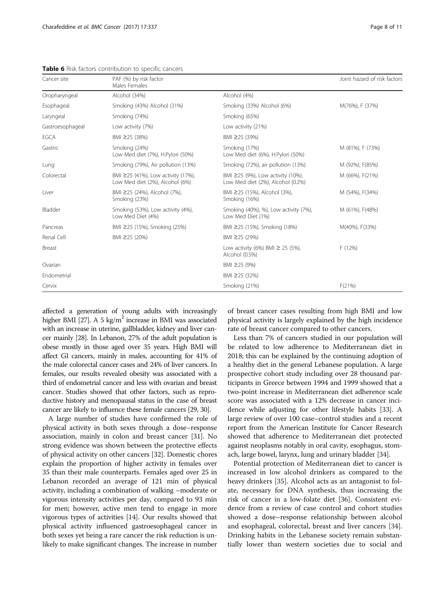| Cancer site      | PAF (%) by risk factor<br>Males Females                               |                                                                        | Joint hazard of risk factors |
|------------------|-----------------------------------------------------------------------|------------------------------------------------------------------------|------------------------------|
| Oropharyngeal    | Alcohol (34%)                                                         | Alcohol (4%)                                                           |                              |
| Esophageal       | Smoking (43%) Alcohol (31%)                                           | Smoking (33%) Alcohol (6%)                                             | M(76%), F (37%)              |
| Laryngeal        | Smoking (74%)                                                         | Smoking (65%)                                                          |                              |
| Gastroesophageal | Low activity (7%)                                                     | Low activity (21%)                                                     |                              |
| <b>EGCA</b>      | BMI ≥25 (38%)                                                         | BMI ≥25 (39%)                                                          |                              |
| Gastric          | Smoking (24%)<br>Low Med diet (7%), H.Pylori (50%)                    | Smoking (17%)<br>Low Med diet (6%), H.Pylori (50%)                     | M (81%), F (73%)             |
| Lung             | Smoking (79%), Air pollution (13%)                                    | Smoking (72%), air pollution (13%)                                     | M (92%), F(85%)              |
| Colorectal       | BMI ≥25 (41%), Low activity (17%),<br>Low Med diet (2%), Alcohol (6%) | BMI ≥25 (9%), Low activity (10%),<br>Low Med diet (2%), Alcohol (0.2%) | M (66%), F(21%)              |
| Liver            | BMI ≥25 (24%), Alcohol (7%),<br>Smoking (23%)                         | BMI ≥25 (15%), Alcohol (3%),<br>Smoking (16%)                          | M (54%), F(34%)              |
| Bladder          | Smoking (53%), Low activity (4%),<br>Low Med Diet (4%)                | Smoking (40%), %), Low activity (7%),<br>Low Med Diet (1%)             | M (61%), F(48%)              |
| Pancreas         | BMI ≥25 (15%), Smoking (25%)                                          | BMI ≥25 (15%), Smoking (18%)                                           | M(40%), F(33%)               |
| Renal Cell       | BMI ≥25 (20%)                                                         | BMI ≥25 (29%)                                                          |                              |
| Breast           |                                                                       | Low activity (6%) BMI ≥ 25 (5%),<br>Alcohol (0.5%)                     | F (12%)                      |
| Ovarian          |                                                                       | BMI ≥25 (9%)                                                           |                              |
| Endometrial      |                                                                       | BMI ≥25 (32%)                                                          |                              |
| Cervix           |                                                                       | Smoking (21%)                                                          | F(21%)                       |

<span id="page-7-0"></span>Table 6 Risk factors contribution to specific cancers

affected a generation of young adults with increasingly higher BMI [[27\]](#page-9-0). A 5 kg/ $m<sup>2</sup>$  increase in BMI was associated with an increase in uterine, gallbladder, kidney and liver cancer mainly [\[28](#page-9-0)]. In Lebanon, 27% of the adult population is obese mostly in those aged over 35 years. High BMI will affect GI cancers, mainly in males, accounting for 41% of the male colorectal cancer cases and 24% of liver cancers. In females, our results revealed obesity was associated with a third of endometrial cancer and less with ovarian and breast cancer. Studies showed that other factors, such as reproductive history and menopausal status in the case of breast cancer are likely to influence these female cancers [\[29, 30\]](#page-9-0).

A large number of studies have confirmed the role of physical activity in both sexes through a dose–response association, mainly in colon and breast cancer [[31](#page-9-0)]. No strong evidence was shown between the protective effects of physical activity on other cancers [[32\]](#page-9-0). Domestic chores explain the proportion of higher activity in females over 35 than their male counterparts. Females aged over 25 in Lebanon recorded an average of 121 min of physical activity, including a combination of walking –moderate or vigorous intensity activities per day, compared to 93 min for men; however, active men tend to engage in more vigorous types of activities [\[14\]](#page-9-0). Our results showed that physical activity influenced gastroesophageal cancer in both sexes yet being a rare cancer the risk reduction is unlikely to make significant changes. The increase in number

of breast cancer cases resulting from high BMI and low physical activity is largely explained by the high incidence rate of breast cancer compared to other cancers.

Less than 7% of cancers studied in our population will be related to low adherence to Mediterranean diet in 2018; this can be explained by the continuing adoption of a healthy diet in the general Lebanese population. A large prospective cohort study including over 28 thousand participants in Greece between 1994 and 1999 showed that a two-point increase in Mediterranean diet adherence scale score was associated with a 12% decrease in cancer incidence while adjusting for other lifestyle habits [[33](#page-9-0)]. A large review of over 100 case–control studies and a recent report from the American Institute for Cancer Research showed that adherence to Mediterranean diet protected against neoplasms notably in oral cavity, esophagus, stomach, large bowel, larynx, lung and urinary bladder [[34](#page-9-0)].

Potential protection of Mediterranean diet to cancer is increased in low alcohol drinkers as compared to the heavy drinkers [[35\]](#page-9-0). Alcohol acts as an antagonist to folate, necessary for DNA synthesis, thus increasing the risk of cancer in a low-folate diet [\[36\]](#page-9-0). Consistent evidence from a review of case control and cohort studies showed a dose–response relationship between alcohol and esophageal, colorectal, breast and liver cancers [\[34](#page-9-0)]. Drinking habits in the Lebanese society remain substantially lower than western societies due to social and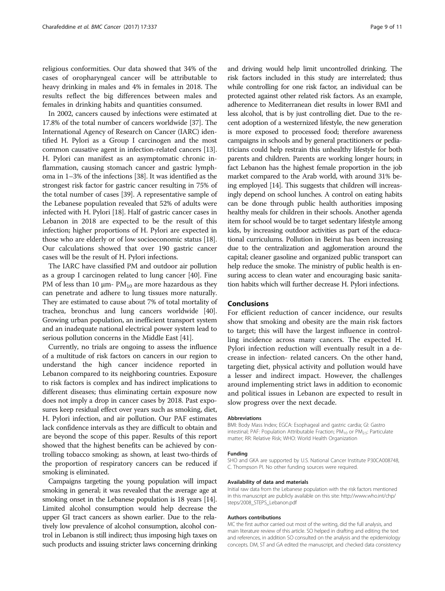religious conformities. Our data showed that 34% of the cases of oropharyngeal cancer will be attributable to heavy drinking in males and 4% in females in 2018. The results reflect the big differences between males and females in drinking habits and quantities consumed.

In 2002, cancers caused by infections were estimated at 17.8% of the total number of cancers worldwide [[37](#page-9-0)]. The International Agency of Research on Cancer (IARC) identified H. Pylori as a Group I carcinogen and the most common causative agent in infection-related cancers [[13](#page-9-0)]. H. Pylori can manifest as an asymptomatic chronic inflammation, causing stomach cancer and gastric lymphoma in 1–3% of the infections [[38](#page-9-0)]. It was identified as the strongest risk factor for gastric cancer resulting in 75% of the total number of cases [\[39\]](#page-9-0). A representative sample of the Lebanese population revealed that 52% of adults were infected with H. Pylori [\[18\]](#page-9-0). Half of gastric cancer cases in Lebanon in 2018 are expected to be the result of this infection; higher proportions of H. Pylori are expected in those who are elderly or of low socioeconomic status [[18](#page-9-0)]. Our calculations showed that over 190 gastric cancer cases will be the result of H. Pylori infections.

The IARC have classified PM and outdoor air pollution as a group I carcinogen related to lung cancer [[40](#page-10-0)]. Fine PM of less than 10  $\mu$ m- PM<sub>10</sub> are more hazardous as they can penetrate and adhere to lung tissues more naturally. They are estimated to cause about 7% of total mortality of trachea, bronchus and lung cancers worldwide [[40](#page-10-0)]. Growing urban population, an inefficient transport system and an inadequate national electrical power system lead to serious pollution concerns in the Middle East [\[41\]](#page-10-0).

Currently, no trials are ongoing to assess the influence of a multitude of risk factors on cancers in our region to understand the high cancer incidence reported in Lebanon compared to its neighboring countries. Exposure to risk factors is complex and has indirect implications to different diseases; thus eliminating certain exposure now does not imply a drop in cancer cases by 2018. Past exposures keep residual effect over years such as smoking, diet, H. Pylori infection, and air pollution. Our PAF estimates lack confidence intervals as they are difficult to obtain and are beyond the scope of this paper. Results of this report showed that the highest benefits can be achieved by controlling tobacco smoking; as shown, at least two-thirds of the proportion of respiratory cancers can be reduced if smoking is eliminated.

Campaigns targeting the young population will impact smoking in general; it was revealed that the average age at smoking onset in the Lebanese population is 18 years [\[14](#page-9-0)]. Limited alcohol consumption would help decrease the upper GI tract cancers as shown earlier. Due to the relatively low prevalence of alcohol consumption, alcohol control in Lebanon is still indirect; thus imposing high taxes on such products and issuing stricter laws concerning drinking and driving would help limit uncontrolled drinking. The risk factors included in this study are interrelated; thus while controlling for one risk factor, an individual can be protected against other related risk factors. As an example, adherence to Mediterranean diet results in lower BMI and less alcohol, that is by just controlling diet. Due to the recent adoption of a westernized lifestyle, the new generation is more exposed to processed food; therefore awareness campaigns in schools and by general practitioners or pediatricians could help restrain this unhealthy lifestyle for both parents and children. Parents are working longer hours; in fact Lebanon has the highest female proportion in the job market compared to the Arab world, with around 31% being employed [\[14](#page-9-0)]. This suggests that children will increasingly depend on school lunches. A control on eating habits can be done through public health authorities imposing healthy meals for children in their schools. Another agenda item for school would be to target sedentary lifestyle among kids, by increasing outdoor activities as part of the educational curriculums. Pollution in Beirut has been increasing due to the centralization and agglomeration around the capital; cleaner gasoline and organized public transport can help reduce the smoke. The ministry of public health is ensuring access to clean water and encouraging basic sanitation habits which will further decrease H. Pylori infections.

## Conclusions

For efficient reduction of cancer incidence, our results show that smoking and obesity are the main risk factors to target; this will have the largest influence in controlling incidence across many cancers. The expected H. Pylori infection reduction will eventually result in a decrease in infection- related cancers. On the other hand, targeting diet, physical activity and pollution would have a lesser and indirect impact. However, the challenges around implementing strict laws in addition to economic and political issues in Lebanon are expected to result in slow progress over the next decade.

### Abbreviations

BMI: Body Mass Index; EGCA: Esophageal and gastric cardia; GI: Gastro intestinal; PAF: Population Attributable Fraction;  $PM_{10}$  or  $PM_{2.5}$ : Particulate matter; RR: Relative Risk; WHO: World Health Organization

#### Funding

SHO and GKA are supported by U.S. National Cancer Institute P30CA008748, C. Thompson PI. No other funding sources were required.

#### Availability of data and materials

Initial raw data from the Lebanese population with the risk factors mentioned in this manuscript are publicly available on this site: [http://www.who.int/chp/](http://www.who.int/chp/steps/2008_STEPS_Lebanon.pdf) [steps/2008\\_STEPS\\_Lebanon.pdf](http://www.who.int/chp/steps/2008_STEPS_Lebanon.pdf)

#### Authors contributions

MC the first author carried out most of the writing, did the full analysis, and main literature review of this article. SO helped in drafting and editing the text and references, in addition SO consulted on the analysis and the epidemiology concepts. DM, ST and GA edited the manuscript, and checked data consistency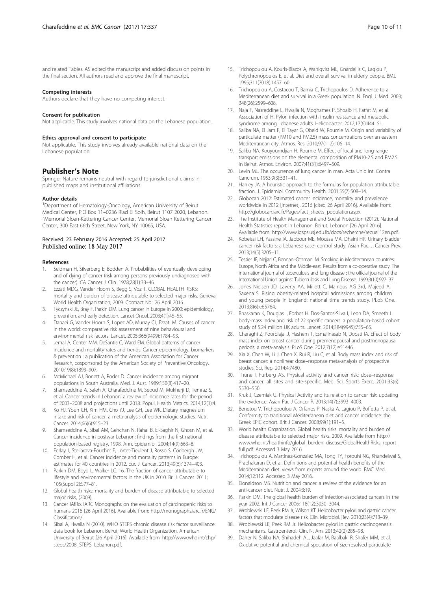<span id="page-9-0"></span>and related Tables. AS edited the manuscript and added discussion points in the final section. All authors read and approve the final manuscript.

## Competing interests

Authors declare that they have no competing interest.

#### Consent for publication

Not applicable. This study involves national data on the Lebanese population.

#### Ethics approval and consent to participate

Not applicable. This study involves already available national data on the Lebanese population.

## Publisher's Note

Springer Nature remains neutral with regard to jurisdictional claims in published maps and institutional affiliations.

#### Author details

<sup>1</sup>Department of Hematology-Oncology, American University of Beirut Medical Center, P.O Box 11–0236 Riad El Solh, Beirut 1107 2020, Lebanon. <sup>2</sup> Memorial Sloan-Kettering Cancer Center, Memorial Sloan Kettering Cancer Center, 300 East 66th Street, New York, NY 10065, USA.

### Received: 23 February 2016 Accepted: 25 April 2017 Published online: 18 May 2017

#### References

- 1. Seidman H, Silverberg E, Bodden A. Probabilities of eventually developing and of dying of cancer (risk among persons previously undiagnosed with the cancer). CA Cancer J. Clin. 1978;28(1):33–46.
- 2. Ezzati MDG, Vander Hoorn S, Begg S, Voz T. GLOBAL HEALTH RISKS: mortality and burden of disease attributable to selected major risks. Geneva: World Health Organization; 2009. Contract No.: 26 April 2016.
- Tyczynski JE, Bray F, Parkin DM. Lung cancer in Europe in 2000: epidemiology, prevention, and early detection. Lancet Oncol. 2003;4(1):45–55.
- 4. Danaei G, Vander Hoorn S, Lopez AD, Murray CJ, Ezzati M. Causes of cancer in the world: comparative risk assessment of nine behavioural and environmental risk factors. Lancet. 2005;366(9499):1784–93.
- Jemal A, Center MM, DeSantis C, Ward EM. Global patterns of cancer incidence and mortality rates and trends. Cancer epidemiology, biomarkers & prevention : a publication of the American Association for Cancer Research, cosponsored by the American Society of Preventive Oncology. 2010;19(8):1893–907.
- 6. McMichael AJ, Bonett A, Roder D. Cancer incidence among migrant populations in South Australia. Med. J. Aust. 1989;150(8):417–20.
- 7. Shamseddine A, Saleh A, Charafeddine M, Seoud M, Mukherji D, Temraz S, et al. Cancer trends in Lebanon: a review of incidence rates for the period of 2003–2008 and projections until 2018. Popul. Health Metrics. 2014;12(1):4.
- 8. Ko HJ, Youn CH, Kim HM, Cho YJ, Lee GH, Lee WK. Dietary magnesium intake and risk of cancer: a meta-analysis of epidemiologic studies. Nutr. Cancer. 2014;66(6):915–23.
- 9. Shamseddine A, Sibai AM, Gehchan N, Rahal B, El-Saghir N, Ghosn M, et al. Cancer incidence in postwar Lebanon: findings from the first national population-based registry, 1998. Ann. Epidemiol. 2004;14(9):663–8.
- 10. Ferlay J, Steliarova-Foucher E, Lortet-Tieulent J, Rosso S, Coebergh JW, Comber H, et al. Cancer incidence and mortality patterns in Europe: estimates for 40 countries in 2012. Eur. J. Cancer. 2013;49(6):1374–403.
- 11. Parkin DM, Boyd L, Walker LC. 16. The fraction of cancer attributable to lifestyle and environmental factors in the UK in 2010. Br. J. Cancer. 2011; 105(Suppl 2):S77–81.
- 12. Global health risks: mortality and burden of disease attributable to selected major risks, (2009).
- 13. Cancer IAfRo. IARC Monographs on the evaluation of carcinogenic risks to humans 2016 [26 April 2016]. Available from: [http://monographs.iarc.fr/ENG/](http://monographs.iarc.fr/ENG/Classification/) [Classification/](http://monographs.iarc.fr/ENG/Classification/).
- 14. Sibai A, Hwalla N (2010). WHO STEPS chronic disease risk factor surveillance: data book for Lebanon. Beirut, World Health Organization, American University of Beirut [26 April 2016]. Available from: [http://www.who.int/chp/](http://www.who.int/chp/steps/2008_STEPS_Lebanon.pdf) [steps/2008\\_STEPS\\_Lebanon.pdf.](http://www.who.int/chp/steps/2008_STEPS_Lebanon.pdf)
- 15. Trichopoulou A, Kouris-Blazos A, Wahlqvist ML, Gnardellis C, Lagiou P, Polychronopoulos E, et al. Diet and overall survival in elderly people. BMJ. 1995;311(7018):1457–60.
- 16. Trichopoulou A, Costacou T, Bamia C, Trichopoulos D. Adherence to a Mediterranean diet and survival in a Greek population. N. Engl. J. Med. 2003; 348(26):2599–608.
- 17. Naja F, Nasreddine L, Hwalla N, Moghames P, Shoaib H, Fatfat M, et al. Association of H. Pylori infection with insulin resistance and metabolic syndrome among Lebanese adults. Helicobacter. 2012;17(6):444–51.
- 18. Saliba NA, El Jam F, El Tayar G, Obeid W, Roumie M. Origin and variability of particulate matter (PM10 and PM2.5) mass concentrations over an eastern Mediterranean city. Atmos. Res. 2010;97(1–2):106–14.
- 19. Saliba NA, Kouyoumdjian H, Roumie M. Effect of local and long-range transport emissions on the elemental composition of PM10-2.5 and PM2.5 in Beirut. Atmos. Environ. 2007;41(31):6497–509.
- 20. Levin ML. The occurrence of lung cancer in man. Acta Unio Int. Contra Cancrum. 1953;9(3):531–41.
- 21. Hanley JA. A heuristic approach to the formulas for population attributable fraction. J. Epidemiol. Community Health. 2001;55(7):508–14.
- 22. Globocan 2012: Estimated cancer incidence, mortality and prevalence worldwide in 2012 [Internet]. 2016 [cited 26 April 2016]. Available from: [http://globocan.iarc.fr/Pages/fact\\_sheets\\_population.aspx.](http://globocan.iarc.fr/Pages/fact_sheets_population.aspx)
- 23. The Institute of Health Management and Social Protection (2012). National Health Statistics report in Lebanon. Beirut, Lebanon [26 April 2016]. Available from: [http://www.igsps.usj.edu.lb/docs/recherche/recueil12en.pdf.](http://www.igsps.usj.edu.lb/docs/recherche/recueil12en.pdf)
- 24. Kobeissi LH, Yassine IA, Jabbour ME, Moussa MA, Dhaini HR. Urinary bladder cancer risk factors: a Lebanese case- control study. Asian Pac. J. Cancer Prev. 2013;14(5):3205–11.
- 25. Tessier JF, Nejjari C, Bennani-Othmani M. Smoking in Mediterranean countries: Europe, North Africa and the Middle-east. Results from a co-operative study. The international journal of tuberculosis and lung disease : the official journal of the International Union against Tuberculosis and Lung Disease. 1999;3(10):927–37.
- 26. Jones Nielsen JD, Laverty AA, Millett C, Mainous AG 3rd, Majeed A, Saxena S. Rising obesity-related hospital admissions among children and young people in England: national time trends study. PLoS One. 2013;8(6):e65764.
- 27. Bhaskaran K, Douglas I, Forbes H. Dos-Santos-Silva I, Leon DA, Smeeth L. body-mass index and risk of 22 specific cancers: a population-based cohort study of 5.24 million UK adults. Lancet. 2014;384(9945):755–65.
- 28. Cheraghi Z, Poorolajal J, Hashem T, Esmailnasab N, Doosti IA. Effect of body mass index on breast cancer during premenopausal and postmenopausal periods: a meta-analysis. PLoS One. 2012;7(12):e51446.
- 29. Xia X, Chen W, Li J, Chen X, Rui R, Liu C, et al. Body mass index and risk of breast cancer: a nonlinear dose–response meta-analysis of prospective studies. Sci. Rep. 2014;4:7480.
- 30. Thune I, Furberg AS. Physical activity and cancer risk: dose–response and cancer, all sites and site-specific. Med. Sci. Sports Exerc. 2001;33(6): S530–S50.
- 31. Kruk J, Czerniak U. Physical Activity and its relation to cancer risk: updating the evidence. Asian Pac J Cancer P. 2013;14(7):3993–4003.
- 32. Benetou V, Trichopoulou A, Orfanos P, Naska A, Lagiou P, Boffetta P, et al. Conformity to traditional Mediterranean diet and cancer incidence: the Greek EPIC cohort. Brit J Cancer. 2008;99(1):191–5.
- 33. World health Organization. Global health risks: mortality and burden of disease attributable to selected major risks. 2009. Available from [http://](http://www.who.int/healthinfo/global_burden_disease/GlobalHealthRisks_report_full.pdf) [www.who.int/healthinfo/global\\_burden\\_disease/GlobalHealthRisks\\_report\\_](http://www.who.int/healthinfo/global_burden_disease/GlobalHealthRisks_report_full.pdf) [full.pdf](http://www.who.int/healthinfo/global_burden_disease/GlobalHealthRisks_report_full.pdf). Accessed 3 May 2016.
- 34. Trichopoulou A, Martinez-Gonzalez MA, Tong TY, Forouhi NG, Khandelwal S, Prabhakaran D, et al. Definitions and potential health benefits of the Mediterranean diet: views from experts around the world. BMC Med. 2014;12:112. Accessed 3 May 2016.
- 35. Donaldson MS. Nutrition and cancer: a review of the evidence for an anti-cancer diet. Nutr. J. 2004;3:19.
- 36. Parkin DM. The global health burden of infection-associated cancers in the year 2002. Int J Cancer 2006;118(12):3030–3044.
- 37. Wroblewski LE, Peek RM Jr, Wilson KT. Helicobacter pylori and gastric cancer: factors that modulate disease risk. Clin. Microbiol. Rev. 2010;23(4):713–39.
- 38. Wroblewski LE, Peek RM Jr. Helicobacter pylori in gastric carcinogenesis: mechanisms. Gastroenterol. Clin. N. Am. 2013;42(2):285–98.
- 39. Daher N, Saliba NA, Shihadeh AL, Jaafar M, Baalbaki R, Shafer MM, et al. Oxidative potential and chemical speciation of size-resolved particulate